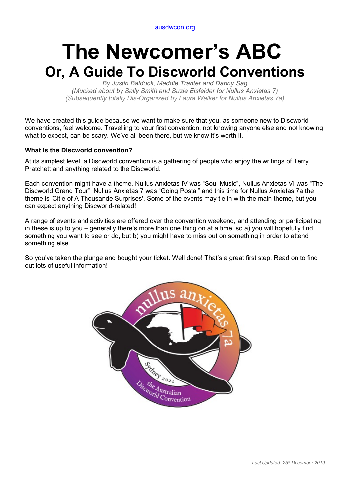[ausdwcon.org](http://www.ausdwcon.org/)

# **The Newcomer's ABC Or, A Guide To Discworld Conventions**

*By Justin Baldock, Maddie Tranter and Danny Sag (Mucked about by Sally Smith and Suzie Eisfelder for Nullus Anxietas 7) (Subsequently totally Dis-Organized by Laura Walker for Nullus Anxietas 7a)*

We have created this guide because we want to make sure that you, as someone new to Discworld conventions, feel welcome. Travelling to your first convention, not knowing anyone else and not knowing what to expect, can be scary. We've all been there, but we know it's worth it.

# **What is the Discworld convention?**

At its simplest level, a Discworld convention is a gathering of people who enjoy the writings of Terry Pratchett and anything related to the Discworld.

Each convention might have a theme. Nullus Anxietas IV was "Soul Music", Nullus Anxietas VI was "The Discworld Grand Tour" Nullus Anxietas 7 was "Going Postal" and this time for Nullus Anxietas 7a the theme is 'Citie of A Thousande Surprises'. Some of the events may tie in with the main theme, but you can expect anything Discworld-related!

A range of events and activities are offered over the convention weekend, and attending or participating in these is up to you – generally there's more than one thing on at a time, so a) you will hopefully find something you want to see or do, but b) you might have to miss out on something in order to attend something else.

So you've taken the plunge and bought your ticket. Well done! That's a great first step. Read on to find out lots of useful information!

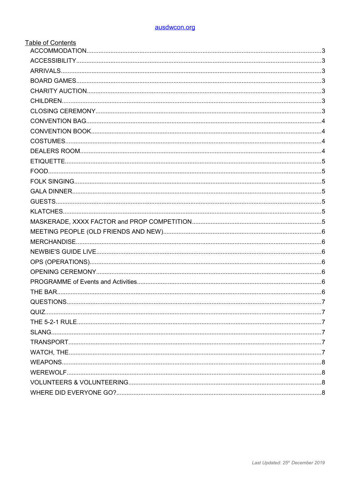| <b>Table of Contents</b> |  |
|--------------------------|--|
|                          |  |
|                          |  |
|                          |  |
|                          |  |
|                          |  |
|                          |  |
|                          |  |
|                          |  |
|                          |  |
|                          |  |
|                          |  |
|                          |  |
|                          |  |
|                          |  |
|                          |  |
|                          |  |
|                          |  |
|                          |  |
|                          |  |
|                          |  |
|                          |  |
|                          |  |
|                          |  |
|                          |  |
|                          |  |
|                          |  |
|                          |  |
|                          |  |
|                          |  |
|                          |  |
|                          |  |
|                          |  |
|                          |  |
|                          |  |
|                          |  |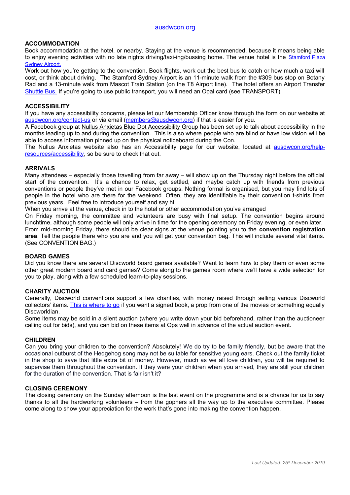## **ACCOMMODATION**

Book accommodation at the hotel, or nearby. Staying at the venue is recommended, because it means being able to enjoy evening activities with no late nights driving/taxi-ing/bussing home. The venue hotel is the [Stamford Plaza](https://www.stamford.com.au/ssa) [Sydney Airport.](https://www.stamford.com.au/ssa)

Work out how you're getting to the convention. Book flights, work out the best bus to catch or how much a taxi will cost, or think about driving. The Stamford Sydney Airport is an 11-minute walk from the #309 bus stop on Botany Rad and a 13-minute walk from Mascot Train Station (on the T8 Airport line). The hotel offers an Airport Transfer [Shuttle Bus.](https://www.stamford.com.au/ssa/location/sydney-airport-parking-and-transfers) If you're going to use public transport, you will need an Opal card (see TRANSPORT).

#### **ACCESSIBILITY**

If you have any accessibility concerns, please let our Membership Officer know through the form on our website at [ausdwcon.org/contact-us](https://ausdwcon.org/contact-us/) or via email [\(members@ausdwcon.org\)](mailto:members@ausdwcon.org) if that is easier for you.

A Facebook group at [Nullus Anxietas Blue Dot Accessibility Group](http://facebook.com/groups/ausdwcon2019accessibility) has been set up to talk about accessibility in the months leading up to and during the convention. This is also where people who are blind or have low vision will be able to access information pinned up on the physical noticeboard during the Con.

The Nullus Anxietas website also has an Accessibility page for our website, located at [ausdwcon.org/help](http://www.ausdwcon.org/help-resources/accessibility)[resources/accessibility,](http://www.ausdwcon.org/help-resources/accessibility) so be sure to check that out.

#### **ARRIVALS**

Many attendees – especially those travelling from far away – will show up on the Thursday night before the official start of the convention. It's a chance to relax, get settled, and maybe catch up with friends from previous conventions or people they've met in our Facebook groups. Nothing formal is organised, but you may find lots of people in the hotel who are there for the weekend. Often, they are identifiable by their convention t-shirts from previous years. Feel free to introduce yourself and say hi.

When you arrive at the venue, check in to the hotel or other accommodation you've arranged

On Friday morning, the committee and volunteers are busy with final setup. The convention begins around lunchtime, although some people will only arrive in time for the opening ceremony on Friday evening, or even later. From mid-morning Friday, there should be clear signs at the venue pointing you to the **convention registration area**. Tell the people there who you are and you will get your convention bag. This will include several vital items. (See CONVENTION BAG.)

#### **BOARD GAMES**

Did you know there are several Discworld board games available? Want to learn how to play them or even some other great modern board and card games? Come along to the games room where we'll have a wide selection for you to play, along with a few scheduled learn-to-play sessions.

#### **CHARITY AUCTION**

Generally, Discworld conventions support a few charities, with money raised through selling various Discworld collectors' items. [This is where to go](https://2021.ausdwcon.org/convention/programme-of-events/charity-auction/) if you want a signed book, a prop from one of the movies or something equally Discworldian.

Some items may be sold in a silent auction (where you write down your bid beforehand, rather than the auctioneer calling out for bids), and you can bid on these items at Ops well in advance of the actual auction event.

#### **CHILDREN**

Can you bring your children to the convention? Absolutely! We do try to be family friendly, but be aware that the occasional outburst of the Hedgehog song may not be suitable for sensitive young ears. Check out the family ticket in the shop to save that little extra bit of money. However, much as we all love children, you will be required to supervise them throughout the convention. If they were your children when you arrived, they are still your children for the duration of the convention. That is fair isn't it?

#### **CLOSING CEREMONY**

The closing ceremony on the Sunday afternoon is the last event on the programme and is a chance for us to say thanks to all the hardworking volunteers – from the gophers all the way up to the executive committee. Please come along to show your appreciation for the work that's gone into making the convention happen.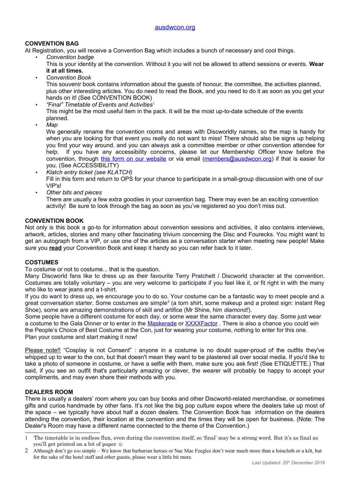# **CONVENTION BAG**

At Registration, you will receive a Convention Bag which includes a bunch of necessary and cool things.

- *Convention badge*
	- This is your identity at the convention. Without it you will not be allowed to attend sessions or events. **Wear it at all times.**
- *Convention Book*

This souvenir book contains information about the guests of honour, the committee, the activities planned, plus other interesting articles. You do need to read the Book, and you need to do it as soon as you get your hands on it! (See CONVENTION BOOK)

- *"Final" Timetable of Events and Activities*[1](#page-3-0) This might be the most useful item in the pack. It will be the most up-to-date schedule of the events planned.
- *Map*

We generally rename the convention rooms and areas with Discworldly names, so the map is handy for when you are looking for that event you really do not want to miss! There should also be signs up helping you find your way around, and you can always ask a committee member or other convention attendee for help. If you have any accessibility concerns, please let our Membership Officer know before the convention, through [this form on our website](https://ausdwcon.org/contact-us/) or via email [\(members@ausdwcon.org\)](mailto:members@ausdwcon.org) if that is easier for you. (See ACCESSIBILITY)

- *Klatch entry ticket (see KLATCH)* Fill in this form and return to OPS for your chance to participate in a small-group discussion with one of our VIP's!
- *Other bits and pieces*

There are usually a few extra goodies in your convention bag. There may even be an exciting convention activity! Be sure to look through the bag as soon as you've registered so you don't miss out.

## **CONVENTION BOOK**

Not only is this book a go-to for information about convention sessions and activities, it also contains interviews, artwork, articles, stories and many other fascinating trivium concerning the Disc and Fourecks. You might want to get an autograph from a VIP, or use one of the articles as a conversation starter when meeting new people! Make sure you **read** your Convention Book and keep it handy so you can refer back to it later.

## **COSTUMES**

To costume or not to costume... that is the question.

Many Discworld fans like to dress up as their favourite Terry Pratchett / Discworld character at the convention. Costumes are totally voluntary – you are very welcome to participate if you feel like it, or fit right in with the many who like to wear jeans and a t-shirt.

If you do want to dress up, we encourage you to do so. Your costume can be a fantastic way to meet people and a great conversation starter. Some costumes are simple $^2$  $^2$  (a torn shirt, some makeup and a protest sign: instant Reg Shoe), some are amazing demonstrations of skill and artifice (Mr Shine, him *diamond!*).

Some people have a different costume for each day, or some wear the same character every day. Some just wear a costume to the Gala Dinner or to enter in the [Maskerade](https://2021.ausdwcon.org/convention/programme-of-events/maskerade/) or [XXXXFactor](https://2021.ausdwcon.org/convention/programme-of-events/maskerade/xxxxfactor/) . There is also a chance you could win the People's Choice of Best Costume at the Con, just for wearing your costume, nothing to enter for this one. Plan your costume and start making it now!

Please note!! "Cosplay is not Consent" : anyone in a costume is no doubt super-proud of the outfits they've whipped up to wear to the con, but that doesn't mean they want to be plastered all over social media. If you'd like to take a photo of someone in costume, or have a selfie with them, make sure you ask first! (See ETIQUETTE.) That said, if you see an outfit that's particularly amazing or clever, the wearer will probably be happy to accept your compliments, and may even share their methods with you.

## **DEALERS ROOM**

There is usually a dealers' room where you can buy books and other Discworld-related merchandise, or sometimes gifts and curios handmade by other fans. It's not like the big pop culture expos where the dealers take up most of the space – we typically have about half a dozen dealers. The Convention Book has information on the dealers attending the convention, their location at the convention and the times they will be open for business. (Note: The Dealer's Room may have a different name connected to the theme of the Convention.)

<span id="page-3-0"></span><sup>1</sup> The timetable is in endless flux, even during the convention itself, so 'final' may be a strong word. But it's as final as you'll get printed on a bit of paper ☺

<span id="page-3-1"></span><sup>2</sup> Although don't go *too* simple – We know that barbarian heroes or Nac Mac Feegles don't wear much more than a loincloth or a kilt, but for the sake of the hotel staff and other guests, please wear a little bit more.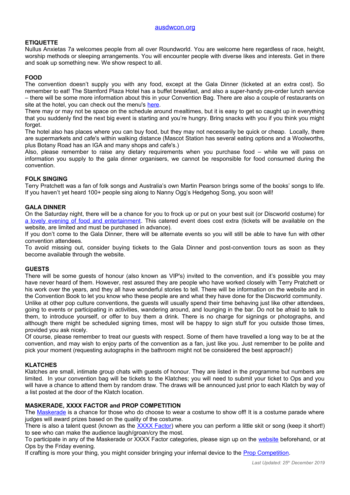## **ETIQUETTE**

Nullus Anxietas 7a welcomes people from all over Roundworld. You are welcome here regardless of race, height, worship methods or sleeping arrangements. You will encounter people with diverse likes and interests. Get in there and soak up something new. We show respect to all.

## **FOOD**

The convention doesn't supply you with any food, except at the Gala Dinner (ticketed at an extra cost). So remember to eat! The Stamford Plaza Hotel has a buffet breakfast, and also a super-handy pre-order lunch service – there will be some more information about this in your Convention Bag. There are also a couple of restaurants on site at the hotel, you can check out the menu's [here.](https://www.stamford.com.au/ssa/restaurant--bar)

There may or may not be space on the schedule around mealtimes, but it is easy to get so caught up in everything that you suddenly find the next big event is starting and you're hungry. Bring snacks with you if you think you might forget.

The hotel also has places where you can buy food, but they may not necessarily be quick or cheap. Locally, there are supermarkets and cafe's within walking distance (Mascot Station has several eating options and a Woolworths, plus Botany Road has an IGA and many shops and cafe's.)

Also, please remember to raise any dietary requirements when you purchase food – while we will pass on information you supply to the gala dinner organisers, we cannot be responsible for food consumed during the convention.

#### **FOLK SINGING**

Terry Pratchett was a fan of folk songs and Australia's own Martin Pearson brings some of the books' songs to life. If you haven't yet heard 100+ people sing along to Nanny Ogg's Hedgehog Song, you soon will!

#### **GALA DINNER**

On the Saturday night, there will be a chance for you to frock up or put on your best suit (or Discworld costume) for [a lovely evening of food and entertainment.](https://2021.ausdwcon.org/convention/programme-of-events/gala-dinner/) This catered event does cost extra (tickets will be available on the website, are limited and must be purchased in advance).

If you don't come to the Gala Dinner, there will be alternate events so you will still be able to have fun with other convention attendees.

To avoid missing out, consider buying tickets to the Gala Dinner and post-convention tours as soon as they become available through the website.

#### **GUESTS**

There will be some guests of honour (also known as VIP's) invited to the convention, and it's possible you may have never heard of them. However, rest assured they are people who have worked closely with Terry Pratchett or his work over the years, and they all have wonderful stories to tell. There will be information on the website and in the Convention Book to let you know who these people are and what they have done for the Discworld community. Unlike at other pop culture conventions, the guests will usually spend their time behaving just like other attendees, going to events or participating in activities, wandering around, and lounging in the bar. Do not be afraid to talk to them, to introduce yourself, or offer to buy them a drink. There is no charge for signings or photographs, and although there might be scheduled signing times, most will be happy to sign stuff for you outside those times, provided you ask nicely.

Of course, please remember to treat our guests with respect. Some of them have travelled a long way to be at the convention, and may wish to enjoy parts of the convention as a fan, just like you. Just remember to be polite and pick your moment (requesting autographs in the bathroom might not be considered the best approach!)

#### **KLATCHES**

Klatches are small, intimate group chats with guests of honour. They are listed in the programme but numbers are limited. In your convention bag will be tickets to the Klatches; you will need to submit your ticket to Ops and you will have a chance to attend them by random draw. The draws will be announced just prior to each Klatch by way of a list posted at the door of the Klatch location.

#### **MASKERADE, XXXX FACTOR and PROP COMPETITION**

The [Maskerade](https://2021.ausdwcon.org/convention/programme-of-events/maskerade/) is a chance for those who do choose to wear a costume to show off! It is a costume parade where judges will award prizes based on the quality of the costume.

There is also a talent quest (known as the [XXXX Factor\)](https://2021.ausdwcon.org/convention/programme-of-events/maskerade/xxxxfactor/) where you can perform a little skit or song (keep it short!) to see who can make the audience laugh/groan/cry the most.

To participate in any of the Maskerade or XXXX Factor categories, please sign up on the [website](https://ausdwcon.org/) beforehand, or at Ops by the Friday evening.

If crafting is more your thing, you might consider bringing your infernal device to the **Prop Competition**.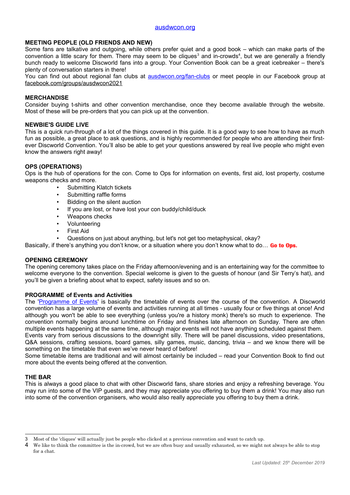#### [ausdwcon.org](http://www.ausdwcon.org/)

#### **MEETING PEOPLE (OLD FRIENDS AND NEW)**

Some fans are talkative and outgoing, while others prefer quiet and a good book – which can make parts of the convention a little scary for them. There may seem to be cliques $^3$  $^3$  and in-crowds $^4$  $^4$ , but we are generally a friendly bunch ready to welcome Discworld fans into a group. Your Convention Book can be a great icebreaker – there's plenty of conversation starters in there!

You can find out about regional fan clubs at [ausdwcon.org/fan-clubs](https://ausdwcon.org/fan-clubs) or meet people in our Facebook group at [facebook.com/groups/ausdwcon2021](https://www.facebook.com/groups/ausdwcon2021/?source_id=10701779969)

#### **MERCHANDISE**

Consider buying t-shirts and other convention merchandise, once they become available through the website. Most of these will be pre-orders that you can pick up at the convention.

#### **NEWBIE'S GUIDE LIVE**

This is a quick run-through of a lot of the things covered in this guide. It is a good way to see how to have as much fun as possible, a great place to ask questions, and is highly recommended for people who are attending their firstever Discworld Convention. You'll also be able to get your questions answered by real live people who might even know the answers right away!

#### **OPS (OPERATIONS)**

Ops is the hub of operations for the con. Come to Ops for information on events, first aid, lost property, costume weapons checks and more.

- Submitting Klatch tickets
- Submitting raffle forms
- Bidding on the silent auction
- If you are lost, or have lost your con buddy/child/duck
- Weapons checks
- **Volunteering**
- **First Aid**
- Questions on just about anything, but let's not get too metaphysical, okay?

Basically, if there's anything you don't know, or a situation where you don't know what to do… **Go to Ops.** 

#### **OPENING CEREMONY**

The opening ceremony takes place on the Friday afternoon/evening and is an entertaining way for the committee to welcome everyone to the convention. Special welcome is given to the guests of honour (and Sir Terry's hat), and you'll be given a briefing about what to expect, safety issues and so on.

#### **PROGRAMME of Events and Activities**

The ['Programme of Events'](https://2021.ausdwcon.org/convention/programme-of-events/) is basically the timetable of events over the course of the convention. A Discworld convention has a large volume of events and activities running at all times - usually four or five things at once! And although you won't be able to see everything (unless you're a history monk) there's so much to experience. The convention normally begins around lunchtime on Friday and finishes late afternoon on Sunday. There are often multiple events happening at the same time, although major events will not have anything scheduled against them. Events vary from serious discussions to the downright silly. There will be panel discussions, video presentations, Q&A sessions, crafting sessions, board games, silly games, music, dancing, trivia – and we know there will be something on the timetable that even we've never heard of before!

Some timetable items are traditional and will almost certainly be included – read your Convention Book to find out more about the events being offered at the convention.

## **THE BAR**

This is always a good place to chat with other Discworld fans, share stories and enjoy a refreshing beverage. You may run into some of the VIP guests, and they may appreciate you offering to buy them a drink! You may also run into some of the convention organisers, who would also really appreciate you offering to buy them a drink.

<span id="page-5-0"></span><sup>3</sup> Most of the 'cliques' will actually just be people who clicked at a previous convention and want to catch up.

<span id="page-5-1"></span><sup>4</sup> We like to think the committee is the in-crowd, but we are often busy and usually exhausted, so we might not always be able to stop for a chat.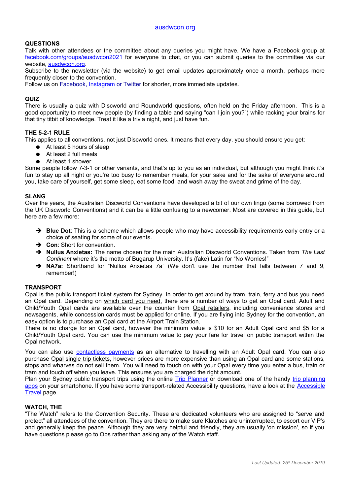## **QUESTIONS**

Talk with other attendees or the committee about any queries you might have. We have a Facebook group at  [facebook.com/groups/ausdwcon2021](file:///E:/DWCon/C:%5CUsers%5CSMITS4%5CAppData%5CLocal%5CMicrosoft%5CWindows%5CTemporary%20Internet%20Files%5CContent.Outlook%5CRRGK2D0X%5CDiscount%20Code%20list%20as%20at%202018.03.04.xlsx) for everyone to chat, or you can submit queries to the committee via our website, [ausdwcon.org.](https://ausdwcon.org/)

Subscribe to the newsletter (via the website) to get email updates approximately once a month, perhaps more frequently closer to the convention.

Follow us on [Facebook,](https://facebook.com/Ausdwcon) [Instagram](https://www.instagram.com/ausdwcon/) or [Twitter](https://twitter.com/ausdwcon) for shorter, more immediate updates.

#### **QUIZ**

There is usually a quiz with Discworld and Roundworld questions, often held on the Friday afternoon. This is a good opportunity to meet new people (by finding a table and saying "can I join you?") while racking your brains for that tiny titbit of knowledge. Treat it like a trivia night, and just have fun.

#### **THE 5-2-1 RULE**

This applies to all conventions, not just Discworld ones. It means that every day, you should ensure you get:

- At least 5 hours of sleep
- At least 2 full meals
- At least 1 shower

Some people follow 7-3-1 or other variants, and that's up to you as an individual, but although you might think it's fun to stay up all night or you're too busy to remember meals, for your sake and for the sake of everyone around you, take care of yourself, get some sleep, eat some food, and wash away the sweat and grime of the day.

#### **SLANG**

Over the years, the Australian Discworld Conventions have developed a bit of our own lingo (some borrowed from the UK Discworld Conventions) and it can be a little confusing to a newcomer. Most are covered in this guide, but here are a few more:

- ➔ **Blue Dot**: This is a scheme which allows people who may have accessibility requirements early entry or a choice of seating for some of our events.
- ➔ **Con**: Short for convention.
- ➔ **Nullus Anxietas:** The name chosen for the main Australian Discworld Conventions. Taken from *The Last Continent* where it's the motto of Bugarup University. It's (fake) Latin for "No Worries!"
- ➔ **NA7a:** Shorthand for "Nullus Anxietas 7a" (We don't use the number that falls between 7 and 9, remember!)

#### **TRANSPORT**

Opal is the public transport ticket system for Sydney. In order to get around by tram, train, ferry and bus you need an Opal card. Depending on [which card you need,](https://transportnsw.info/tickets-opal/ticket-eligibility-concessions) there are a number of ways to get an Opal card. Adult and Child/Youth Opal cards are available over the counter from [Opal retailers,](https://transportnsw.info/node/2246) including convenience stores and newsagents, while concession cards must be applied for online. If you are flying into Sydney for the convention, an easy option is to purchase an Opal card at the Airport Train Station.

There is no charge for an Opal card, however the minimum value is \$10 for an Adult Opal card and \$5 for a Child/Youth Opal card. You can use the minimum value to pay your fare for travel on public transport within the Opal network.

You can also use [contactless payments](https://transportnsw.info/tickets-opal/opal/contactless-payments) as an alternative to travelling with an Adult Opal card. You can also purchase [Opal single trip tickets,](https://transportnsw.info/tickets-opal/opal/fares-payments/opal-single-tickets) however prices are more expensive than using an Opal card and some stations, stops and wharves do not sell them. You will need to touch on with your Opal every time you enter a bus, train or tram and touch off when you leave. This ensures you are charged the right amount.

Plan your Sydney public transport trips using the online [Trip Planner](https://transportnsw.info/trip#/) or download one of the handy [trip planning](https://transportnsw.info/apps) [apps](https://transportnsw.info/apps) on your smartphone. If you have some transport-related Accessibility questions, have a look at the [Accessible](https://transportnsw.info/travel-info/using-public-transport/accessible-travel) [Travel](https://transportnsw.info/travel-info/using-public-transport/accessible-travel) page.

#### **WATCH, THE**

"The Watch" refers to the Convention Security. These are dedicated volunteers who are assigned to "serve and protect" all attendees of the convention. They are there to make sure Klatches are uninterrupted, to escort our VIP's and generally keep the peace. Although they are very helpful and friendly, they are usually 'on mission', so if you have questions please go to Ops rather than asking any of the Watch staff.